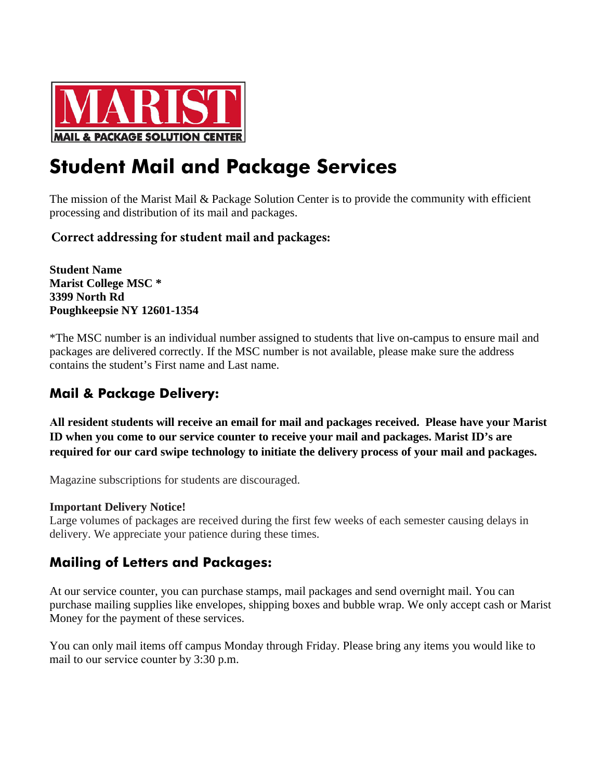

# **Student Mail and Package Services**

The mission of the Marist Mail & Package Solution Center is to provide the community with efficient processing and distribution of its mail and packages.

### **Correct addressing for student mail and packages:**

**Student Name Marist College MSC \* 3399 North Rd Poughkeepsie NY 12601-1354**

\*The MSC number is an individual number assigned to students that live on-campus to ensure mail and packages are delivered correctly. If the MSC number is not available, please make sure the address contains the student's First name and Last name.

## **Mail & Package Delivery:**

**All resident students will receive an email for mail and packages received. Please have your Marist ID when you come to our service counter to receive your mail and packages. Marist ID's are required for our card swipe technology to initiate the delivery process of your mail and packages.** 

Magazine subscriptions for students are discouraged.

#### **Important Delivery Notice!**

Large volumes of packages are received during the first few weeks of each semester causing delays in delivery. We appreciate your patience during these times.

## **Mailing of Letters and Packages:**

At our service counter, you can purchase stamps, mail packages and send overnight mail. You can purchase mailing supplies like envelopes, shipping boxes and bubble wrap. We only accept cash or Marist Money for the payment of these services.

You can only mail items off campus Monday through Friday. Please bring any items you would like to mail to our service counter by 3:30 p.m.